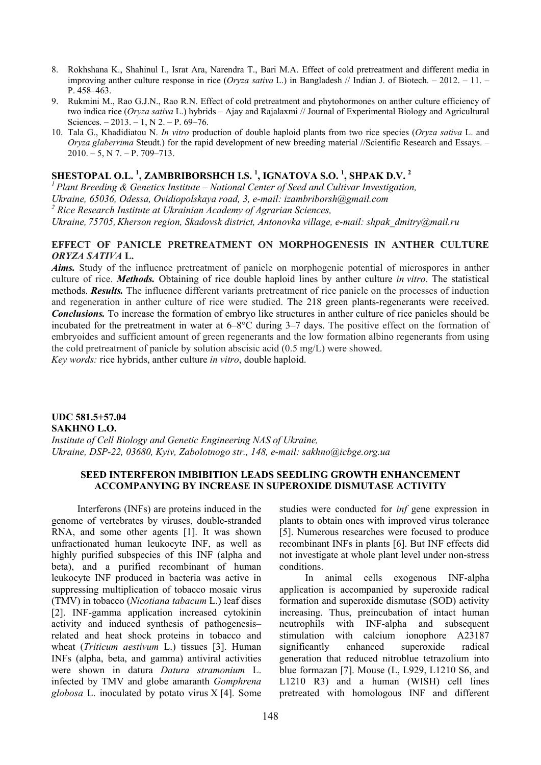- 8. Rokhshana K., Shahinul I., Israt Ara, Narendra T., Bari M.A. Effect of cold pretreatment and different media in improving anther culture response in rice (*Oryza sativa* L.) in Bangladesh // Indian J. of Biotech. – 2012. – 11. – Р. 458–463.
- 9. Rukmini M., Rao G.J.N., Rao R.N. Effect of cold pretreatment and phytohormones on anther culture efficiency of two indica rice (*Oryza sativa* L.) hybrids – Ajay and Rajalaxmi // Journal of Experimental Biology and Agricultural Sciences.  $-2013. - 1$ , N  $2. - P. 69-76$ .
- 10. Tala G., Khadidiatou N. *In vitro* production of double haploid plants from two rice species (*Oryza sativa* L. and *Oryza glaberrima* Steudt.) for the rapid development of new breeding material //Scientific Research and Essays. –  $2010. - 5$ , N 7. - P. 709-713.

# **SHESTOPAL O.L. <sup>1</sup> , ZAMBRIBORSHCH I.S. <sup>1</sup> , IGNATOVA S.O. <sup>1</sup> , SHPAK D.V. <sup>2</sup>**

*1 Plant Breeding & Genetics Institute – National Center of Seed and Cultivar Investigation,* 

*Ukraine, 65036, Odessa, Ovidiopolskaya road, 3, е-mail: izambriborsh@gmail.com* 

*2 Rice Research Institute at Ukrainian Academy of Agrarian Sciences,* 

*Ukraine, 75705,Kherson region, Skadovsk district, Antonovka village, е-mail: shpak\_dmitry@mail.ru* 

## **EFFECT OF PANICLE PRETREATMENT ON MORPHOGENESIS IN ANTHER CULTURE**  *ORYZA SATIVA* **L.**

*Aims.* Study of the influence pretreatment of panicle on morphogenic potential of microspores in anther culture of rice. *Methods.* Obtaining of rice double haploid lines by anther culture *in vitro*. The statistical methods. *Results.* The influence different variants pretreatment of rice panicle on the processes of induction and regeneration in anther culture of rice were studied. The 218 green plants-regenerants were received. *Conclusions.* To increase the formation of embryo like structures in anther culture of rice panicles should be incubated for the pretreatment in water at 6–8°C during 3–7 days. The positive effect on the formation of embryoides and sufficient amount of green regenerants and the low formation albino regenerants from using the cold pretreatment of panicle by solution abscisic acid (0.5 mg/L) were showed.

*Key words:* rice hybrids, anther culture *in vitro*, double haploid.

## **UDC 581.5+57.04 SAKHNO L.O.**  *Institute of Cell Biology and Genetic Engineering NAS of Ukraine, Ukraine, DSP-22, 03680, Kyiv, Zabolotnogo str., 148, е-mail: sakhno@icbge.org.ua*

## **SEED INTERFERON IMBIBITION LEADS SEEDLING GROWTH ENHANCEMENT ACCOMPANYING BY INCREASE IN SUPEROXIDE DISMUTASE ACTIVITY**

Interferons (INFs) are proteins induced in the genome of vertebrates by viruses, double-stranded RNA, and some other agents [1]. It was shown unfractionated human leukocyte INF, as well as highly purified subspecies of this INF (alpha and beta), and a purified recombinant of human leukocyte INF produced in bacteria was active in suppressing multiplication of tobacco mosaic virus (TMV) in tobacco (*Nicotiana tabacum* L.) leaf discs [2]. INF-gamma application increased cytokinin activity and induced synthesis of pathogenesis– related and heat shock proteins in tobacco and wheat (*Triticum aestivum* L.) tissues [3]. Human INFs (alpha, beta, and gamma) antiviral activities were shown in datura *Datura stramonium* L. infected by TMV and globe amaranth *Gomphrena globosa* L. inoculated by potato virus X [4]. Some

studies were conducted for *inf* gene expression in plants to obtain ones with improved virus tolerance [5]. Numerous researches were focused to produce recombinant INFs in plants [6]. But INF effects did not investigate at whole plant level under non-stress conditions.

In animal cells exogenous INF-alpha application is accompanied by superoxide radical formation and superoxide dismutase (SOD) activity increasing. Thus, preincubation of intact human neutrophils with INF-alpha and subsequent stimulation with calcium ionophore A23187 significantly enhanced superoxide radical generation that reduced nitroblue tetrazolium into blue formazan [7]. Mouse (L, L929, L1210 S6, and L1210 R3) and a human (WISH) cell lines pretreated with homologous INF and different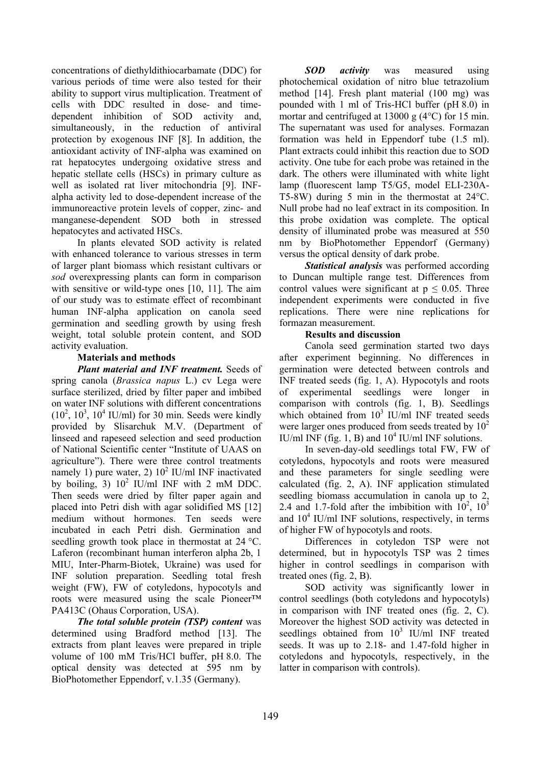concentrations of diethyldithiocarbamate (DDC) for various periods of time were also tested for their ability to support virus multiplication. Treatment of cells with DDC resulted in dose- and timedependent inhibition of SOD activity and, simultaneously, in the reduction of antiviral protection by exogenous INF [8]. In addition, the antioxidant activity of INF-alpha was examined on rat hepatocytes undergoing oxidative stress and hepatic stellate cells (HSCs) in primary culture as well as isolated rat liver mitochondria [9]. INFalpha activity led to dose-dependent increase of the immunoreactive protein levels of copper, zinc- and manganese-dependent SOD both in stressed hepatocytes and activated HSCs.

In plants elevated SOD activity is related with enhanced tolerance to various stresses in term of larger plant biomass which resistant cultivars or *sod* overexpressing plants can form in comparison with sensitive or wild-type ones [10, 11]. The aim of our study was to estimate effect of recombinant human INF-alpha application on canola seed germination and seedling growth by using fresh weight, total soluble protein content, and SOD activity evaluation.

# **Materials and methods**

*Plant material and INF treatment.* Seeds of spring canola (*Brassica napus* L.) cv Lega were surface sterilized, dried by filter paper and imbibed on water INF solutions with different concentrations  $(10^2, 10^3, 10^4$  IU/ml) for 30 min. Seeds were kindly provided by Slisarchuk M.V. (Department of linseed and rapeseed selection and seed production of National Scientific center "Institute of UAAS on agriculture"). There were three control treatments namely 1) pure water, 2)  $10^2$  IU/ml INF inactivated by boiling, 3)  $10^2$  IU/ml INF with 2 mM DDC. Then seeds were dried by filter paper again and placed into Petri dish with agar solidified MS [12] medium without hormones. Ten seeds were incubated in each Petri dish. Germination and seedling growth took place in thermostat at 24 °C. Laferon (recombinant human interferon alpha 2b, 1 MIU, Inter-Pharm-Biotek, Ukraine) was used for INF solution preparation. Seedling total fresh weight (FW), FW of cotyledons, hypocotyls and roots were measured using the scale Pioneer™ PA413C (Ohaus Corporation, USA).

*The total soluble protein (TSP) content* was determined using Bradford method [13]. The extracts from plant leaves were prepared in triple volume of 100 mM Tris/HCl buffer, pH 8.0. The optical density was detected at 595 nm by BioPhotomether Eppendorf, v.1.35 (Germany).

*SOD activity* was measured using photochemical oxidation of nitro blue tetrazolium method [14]. Fresh plant material (100 mg) was pounded with 1 ml of Tris-HCl buffer (pH 8.0) in mortar and centrifuged at 13000 g (4°С) for 15 min. The supernatant was used for analyses. Formazan formation was held in Eppendorf tube (1.5 ml). Plant extracts could inhibit this reaction due to SOD activity. One tube for each probe was retained in the dark. The others were illuminated with white light lamp (fluorescent lamp Т5/G5, model ELI-230A-T5-8W) during 5 min in the thermostat at 24°С. Null probe had no leaf extract in its composition. In this probe oxidation was complete. The optical density of illuminated probe was measured at 550 nm by BioPhotomether Eppendorf (Germany) versus the optical density of dark probe.

*Statistical analysis* was performed according to Duncan multiple range test. Differences from control values were significant at  $p \leq 0.05$ . Three independent experiments were conducted in five replications. There were nine replications for formazan measurement.

## **Results and discussion**

Canola seed germination started two days after experiment beginning. No differences in germination were detected between controls and INF treated seeds (fig. 1, A). Hypocotyls and roots of experimental seedlings were longer in comparison with controls (fig. 1, B). Seedlings which obtained from  $10^3$  IU/ml INF treated seeds were larger ones produced from seeds treated by  $10<sup>2</sup>$ IU/ml INF (fig. 1, B) and  $10^4$  IU/ml INF solutions.

In seven-day-old seedlings total FW, FW of cotyledons, hypocotyls and roots were measured and these parameters for single seedling were calculated (fig. 2, A). INF application stimulated seedling biomass accumulation in canola up to 2, 2.4 and 1.7-fold after the imbibition with  $10^2$ ,  $10^3$ and  $10^4$  IU/ml INF solutions, respectively, in terms of higher FW of hypocotyls and roots.

Differences in cotyledon TSP were not determined, but in hypocotyls TSP was 2 times higher in control seedlings in comparison with treated ones (fig. 2, B).

SOD activity was significantly lower in control seedlings (both cotyledons and hypocotyls) in comparison with INF treated ones (fig. 2, C). Moreover the highest SOD activity was detected in seedlings obtained from  $10^3$  IU/ml INF treated seeds. It was up to 2.18- and 1.47-fold higher in cotyledons and hypocotyls, respectively, in the latter in comparison with controls).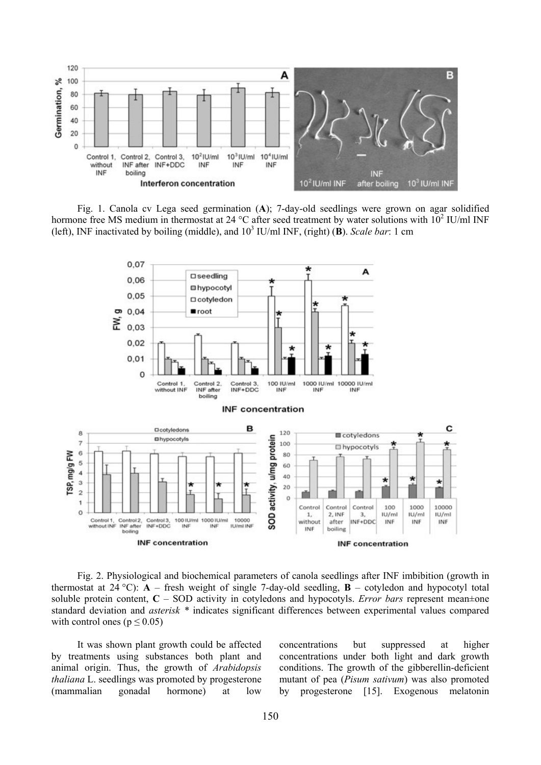

Fig. 1. Canola cv Lega seed germination (**A**); 7-day-old seedlings were grown on agar solidified hormone free MS medium in thermostat at 24 °C after seed treatment by water solutions with  $10^2$  IU/ml INF (left), INF inactivated by boiling (middle), and  $10<sup>3</sup>$  IU/ml INF, (right) (**B**). *Scale bar*: 1 cm



Fig. 2. Physiological and biochemical parameters of canola seedlings after INF imbibition (growth in thermostat at 24 °C):  $\vec{A}$  – fresh weight of single 7-day-old seedling,  $\vec{B}$  – cotyledon and hypocotyl total soluble protein content, **C** – SOD activity in cotyledons and hypocotyls. *Error bars* represent mean±one standard deviation and *asterisk \** indicates significant differences between experimental values compared with control ones  $(p \le 0.05)$ 

It was shown plant growth could be affected by treatments using substances both plant and animal origin. Thus, the growth of *Arabidopsis thaliana* L. seedlings was promoted by progesterone (mammalian gonadal hormone) at low

concentrations but suppressed at higher concentrations under both light and dark growth conditions. The growth of the gibberellin-deficient mutant of pea (*Pisum sativum*) was also promoted by progesterone [15]. Exogenous melatonin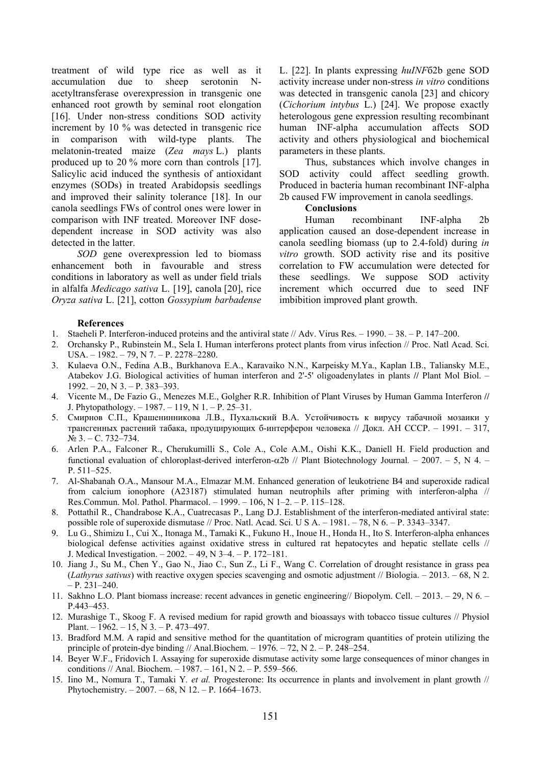treatment of wild type rice as well as it accumulation due to sheep serotonin Nacetyltransferase overexpression in transgenic one enhanced root growth by seminal root elongation [16]. Under non-stress conditions SOD activity increment by 10 % was detected in transgenic rice in comparison with wild-type plants. The melatonin-treated maize (*Zea mays* L.) plants produced up to 20 % more corn than controls [17]. Salicylic acid induced the synthesis of antioxidant enzymes (SODs) in treated Arabidopsis seedlings and improved their salinity tolerance [18]. In our canola seedlings FWs of control ones were lower in comparison with INF treated. Moreover INF dosedependent increase in SOD activity was also detected in the latter.

*SOD* gene overexpression led to biomass enhancement both in favourable and stress conditions in laboratory as well as under field trials in alfalfa *Medicago sativa* L. [19], canola [20], rice *Oryza sativa* L. [21], cotton *Gossypium barbadense*  L. [22]. In plants expressing *huINF*б2b gene SOD activity increase under non-stress *in vitro* conditions was detected in transgenic canola [23] and chicory (*Cichorium intybus* L.) [24]. We propose exactly heterologous gene expression resulting recombinant human INF-alpha accumulation affects SOD activity and others physiological and biochemical parameters in these plants.

Thus, substances which involve changes in SOD activity could affect seedling growth. Produced in bacteria human recombinant INF-alpha 2b caused FW improvement in canola seedlings.

#### **Conclusions**

Human recombinant INF-alpha 2b application caused an dose-dependent increase in canola seedling biomass (up to 2.4-fold) during *in vitro* growth. SOD activity rise and its positive correlation to FW accumulation were detected for these seedlings. We suppose SOD activity increment which occurred due to seed INF imbibition improved plant growth.

#### **References**

- 1. Staeheli P. Interferon-induced proteins and the antiviral state // Adv. Virus Res. 1990. 38. P. 147–200.
- 2. Orchansky P., Rubinstein M., Sela I. Human interferons protect plants from virus infection // Proc. Natl Acad. Sci. USA. – 1982. – 79, N 7. – P. 2278–2280.
- 3. Kulaeva O.N., Fedina A.B., Burkhanova E.A., Karavaiko N.N., Karpeisky M.Ya., Kaplan I.B., Taliansky M.E., Atabekov J.G. Biological activities of human interferon and 2'-5' oligoadenylates in plants **//** Plant Mol Biol. –  $1992. - 20$ , N  $3. - P$ .  $383 - 393$ .
- 4. Vicente M., De Fazio G., Menezes M.E., Golgher R.R. Inhibition of Plant Viruses by Human Gamma Interferon **//**  J. Phytopathology. – 1987. – 119, N 1. – P. 25–31.
- 5. Смирнов С.П., Крашенинникова Л.В., Пухальский В.А. Устойчивость к вирусу табачной мозаики у трансгенных растений табака, продуцирующих б-интерферон человека // Докл. АН СССР. – 1991. – 317, № 3. – С. 732–734.
- 6. Arlen P.A., Falconer R., Cherukumilli S., Cole A., Cole A.M., Oishi K.K., Daniell H. Field production and functional evaluation of chloroplast-derived interferon-α2b // Plant Biotechnology Journal*.* – 2007. – 5, N 4. – P. 511–525.
- 7. Al-Shabanah O.A., Mansour M.A., Elmazar M.M. Enhanced generation of leukotriene B4 and superoxide radical from calcium ionophore (A23187) stimulated human neutrophils after priming with interferon-alpha // Res.Commun. Mol. Pathol. Pharmacol. – 1999. – 106, N 1–2. – P. 115–128.
- 8. Pottathil R., Chandrabose K.A., Cuatrecasas P., Lang D.J. Establishment of the interferon-mediated antiviral state: possible role of superoxide dismutase // Proc. Natl. Acad. Sci. U S A. – 1981. – 78, N 6. – P. 3343–3347.
- 9. Lu G., Shimizu I., Cui X., Itonaga M., Tamaki K., Fukuno H., Inoue H., Honda H., Ito S. Interferon-alpha enhances biological defense activities against oxidative stress in cultured rat hepatocytes and hepatic stellate cells // J. Medical Investigation. – 2002. – 49, N 3–4. – P. 172–181.
- 10. Jiang J., Su M., Chen Y., Gao N., Jiao C., Sun Z., Li F., Wang C. Correlation of drought resistance in grass pea (*Lathyrus sativus*) with reactive oxygen species scavenging and osmotic adjustment // Biologia. – 2013. – 68, N 2.  $- P. 231 - 240.$
- 11. Sakhno L.O. Plant biomass increase: recent advances in genetic engineering// Biopolym. Cell. 2013. 29, N 6. P.443–453.
- 12. Murashige T., Skoog F. A revised medium for rapid growth and bioassays with tobacco tissue cultures // Physiol Plant. – 1962. – 15, N 3. – Р. 473–497.
- 13. Bradford M.M. A rapid and sensitive method for the quantitation of microgram quantities of protein utilizing the principle of protein-dye binding // Anal.Biochem. – 1976. – 72, N 2. – P. 248–254.
- 14. Beyer W.F., Fridovich I. Assaying for superoxide dismutase activity some large consequences of minor changes in conditions // Anal. Biochem. – 1987. – 161, N 2. – P. 559–566.
- 15. Iino M., Nomura T., Tamaki Y*. et al.* Progesterone: Its occurrence in plants and involvement in plant growth // Phytochemistry. – 2007. – 68, N 12. – P. 1664–1673.